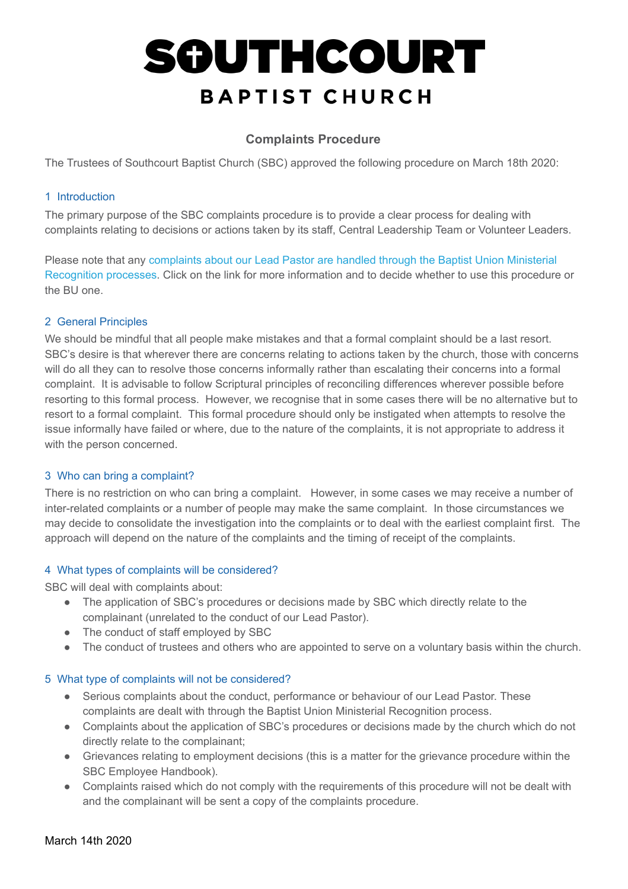#### **Complaints Procedure**

The Trustees of Southcourt Baptist Church (SBC) approved the following procedure on March 18th 2020:

#### 1 Introduction

The primary purpose of the SBC complaints procedure is to provide a clear process for dealing with complaints relating to decisions or actions taken by its staff, Central Leadership Team or Volunteer Leaders.

Please note that any [complaints about our Lead Pastor are handled through the Baptist Union Ministerial](https://www.baptist.org.uk/Articles/520969/Complaint_against_Accredited.aspx)  [Recognition processes](https://www.baptist.org.uk/Articles/520969/Complaint_against_Accredited.aspx) . Click on the link for more information and to decide whether to use this procedure or the BU one.

#### 2 General Principles

We should be mindful that all people make mistakes and that a formal complaint should be a last resort. SBC's desire is that wherever there are concerns relating to actions taken by the church, those with concerns will do all they can to resolve those concerns informally rather than escalating their concerns into a formal complaint. It is advisable to follow Scriptural principles of reconciling differences wherever possible before resorting to this formal process. However, we recognise that in some cases there will be no alternative but to resort to a formal complaint. This formal procedure should only be instigated when attempts to resolve the issue informally have failed or where, due to the nature of the complaints, it is not appropriate to address it with the person concerned.

#### 3 Who can bring a complaint?

There is no restriction on who can bring a complaint. However, in some cases we may receive a number of inter-related complaints or a number of people may make the same complaint. In those circumstances we may decide to consolidate the investigation into the complaints or to deal with the earliest complaint first. The approach will depend on the nature of the complaints and the timing of receipt of the complaints.

#### 4 What types of complaints will be considered?

SBC will deal with complaints about:

- The application of SBC's procedures or decisions made by SBC which directly relate to the complainant (unrelated to the conduct of our Lead Pastor).
- The conduct of staff employed by SBC
- The conduct of trustees and others who are appointed to serve on a voluntary basis within the church.

#### 5 What type of complaints will not be considered?

- Serious complaints about the conduct, performance or behaviour of our Lead Pastor. These complaints are dealt with through the Baptist Union Ministerial Recognition process.
- Complaints about the application of SBC's procedures or decisions made by the church which do not directly relate to the complainant;
- Grievances relating to employment decisions (this is a matter for the grievance procedure within the SBC Employee Handbook).
- Complaints raised which do not comply with the requirements of this procedure will not be dealt with and the complainant will be sent a copy of the complaints procedure.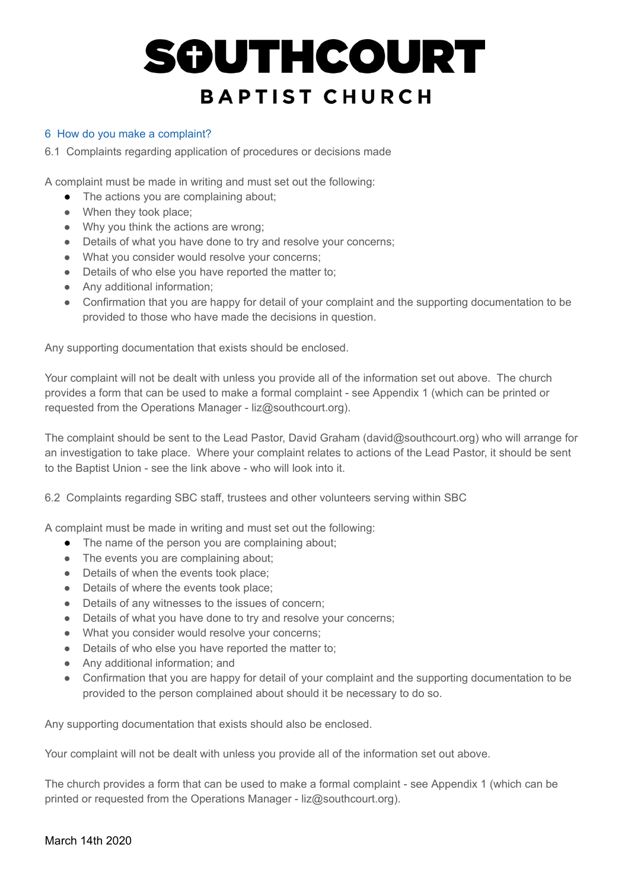#### 6 How do you make a complaint?

6.1 Complaints regarding application of procedures or decisions made

A complaint must be made in writing and must set out the following:

- The actions you are complaining about;
- When they took place;
- Why you think the actions are wrong;
- Details of what you have done to try and resolve your concerns;
- What you consider would resolve your concerns;
- Details of who else you have reported the matter to;
- Any additional information;
- Confirmation that you are happy for detail of your complaint and the supporting documentation to be provided to those who have made the decisions in question.

Any supporting documentation that exists should be enclosed.

Your complaint will not be dealt with unless you provide all of the information set out above. The church provides a form that can be used to make a formal complaint - see Appendix 1 (which can be printed or requested from the Operations Manager - liz@southcourt.org).

The complaint should be sent to the Lead Pastor, David Graham (david@southcourt.org) who will arrange for an investigation to take place. Where your complaint relates to actions of the Lead Pastor, it should be sent to the Baptist Union - see the link above - who will look into it.

6.2 Complaints regarding SBC staff, trustees and other volunteers serving within SBC

A complaint must be made in writing and must set out the following:

- The name of the person you are complaining about;
- The events you are complaining about;
- Details of when the events took place;
- Details of where the events took place;
- Details of any witnesses to the issues of concern;
- Details of what you have done to try and resolve your concerns;
- What you consider would resolve your concerns;
- Details of who else you have reported the matter to;
- Any additional information; and
- Confirmation that you are happy for detail of your complaint and the supporting documentation to be provided to the person complained about should it be necessary to do so.

Any supporting documentation that exists should also be enclosed.

Your complaint will not be dealt with unless you provide all of the information set out above.

The church provides a form that can be used to make a formal complaint - see Appendix 1 (which can be printed or requested from the Operations Manager - liz@southcourt.org).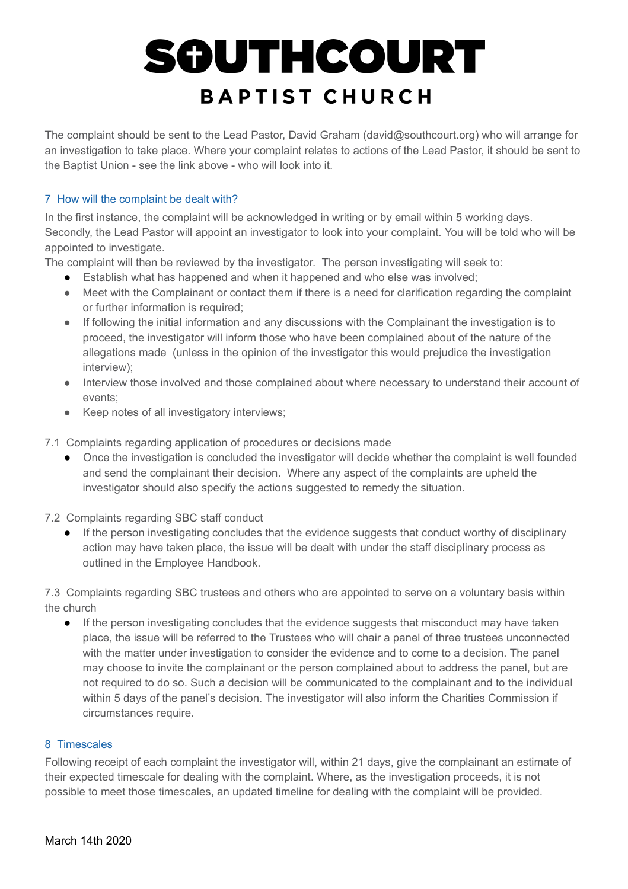The complaint should be sent to the Lead Pastor, David Graham (david@southcourt.org) who will arrange for an investigation to take place. Where your complaint relates to actions of the Lead Pastor, it should be sent to the Baptist Union - see the link above - who will look into it.

#### 7 How will the complaint be dealt with?

In the first instance, the complaint will be acknowledged in writing or by email within 5 working days. Secondly, the Lead Pastor will appoint an investigator to look into your complaint. You will be told who will be appointed to investigate.

The complaint will then be reviewed by the investigator. The person investigating will seek to:

- Establish what has happened and when it happened and who else was involved;
- Meet with the Complainant or contact them if there is a need for clarification regarding the complaint or further information is required;
- If following the initial information and any discussions with the Complainant the investigation is to proceed, the investigator will inform those who have been complained about of the nature of the allegations made (unless in the opinion of the investigator this would prejudice the investigation interview);
- Interview those involved and those complained about where necessary to understand their account of events;
- Keep notes of all investigatory interviews;

7.1 Complaints regarding application of procedures or decisions made

● Once the investigation is concluded the investigator will decide whether the complaint is well founded and send the complainant their decision. Where any aspect of the complaints are upheld the investigator should also specify the actions suggested to remedy the situation.

7.2 Complaints regarding SBC staff conduct

● If the person investigating concludes that the evidence suggests that conduct worthy of disciplinary action may have taken place, the issue will be dealt with under the staff disciplinary process as outlined in the Employee Handbook.

7.3 Complaints regarding SBC trustees and others who are appointed to serve on a voluntary basis within the church

● If the person investigating concludes that the evidence suggests that misconduct may have taken place, the issue will be referred to the Trustees who will chair a panel of three trustees unconnected with the matter under investigation to consider the evidence and to come to a decision. The panel may choose to invite the complainant or the person complained about to address the panel, but are not required to do so. Such a decision will be communicated to the complainant and to the individual within 5 days of the panel's decision. The investigator will also inform the Charities Commission if circumstances require.

#### 8 Timescales

Following receipt of each complaint the investigator will, within 21 days, give the complainant an estimate of their expected timescale for dealing with the complaint. Where, as the investigation proceeds, it is not possible to meet those timescales, an updated timeline for dealing with the complaint will be provided.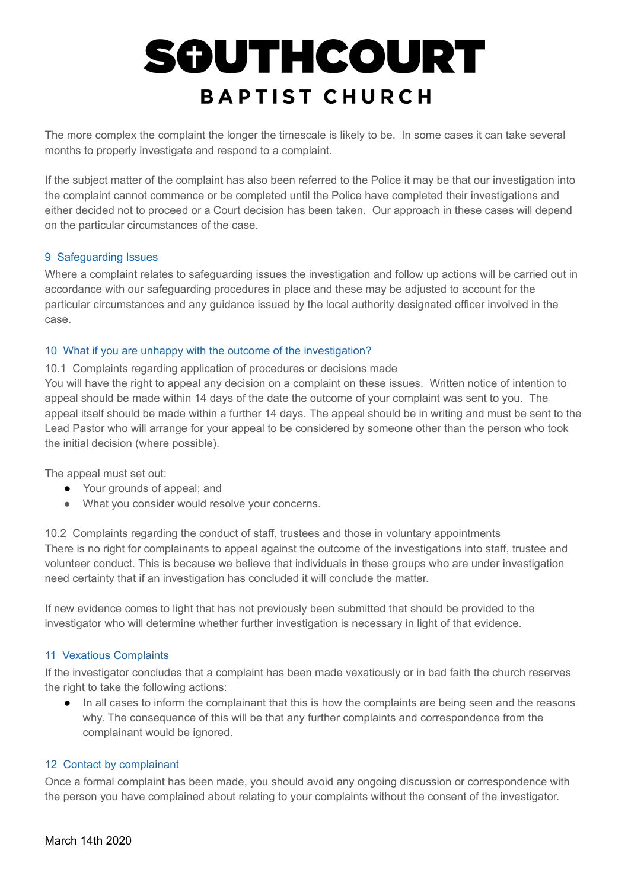The more complex the complaint the longer the timescale is likely to be. In some cases it can take several months to properly investigate and respond to a complaint.

If the subject matter of the complaint has also been referred to the Police it may be that our investigation into the complaint cannot commence or be completed until the Police have completed their investigations and either decided not to proceed or a Court decision has been taken. Our approach in these cases will depend on the particular circumstances of the case.

#### 9 Safeguarding Issues

Where a complaint relates to safeguarding issues the investigation and follow up actions will be carried out in accordance with our safeguarding procedures in place and these may be adjusted to account for the particular circumstances and any guidance issued by the local authority designated officer involved in the case.

#### 10 What if you are unhappy with the outcome of the investigation?

10.1 Complaints regarding application of procedures or decisions made

You will have the right to appeal any decision on a complaint on these issues. Written notice of intention to appeal should be made within 14 days of the date the outcome of your complaint was sent to you. The appeal itself should be made within a further 14 days. The appeal should be in writing and must be sent to the Lead Pastor who will arrange for your appeal to be considered by someone other than the person who took the initial decision (where possible).

The appeal must set out:

- Your grounds of appeal; and
- What you consider would resolve your concerns.

10.2 Complaints regarding the conduct of staff, trustees and those in voluntary appointments There is no right for complainants to appeal against the outcome of the investigations into staff, trustee and volunteer conduct. This is because we believe that individuals in these groups who are under investigation need certainty that if an investigation has concluded it will conclude the matter.

If new evidence comes to light that has not previously been submitted that should be provided to the investigator who will determine whether further investigation is necessary in light of that evidence.

#### 11 Vexatious Complaints

If the investigator concludes that a complaint has been made vexatiously or in bad faith the church reserves the right to take the following actions:

● In all cases to inform the complainant that this is how the complaints are being seen and the reasons why. The consequence of this will be that any further complaints and correspondence from the complainant would be ignored.

#### 12 Contact by complainant

Once a formal complaint has been made, you should avoid any ongoing discussion or correspondence with the person you have complained about relating to your complaints without the consent of the investigator.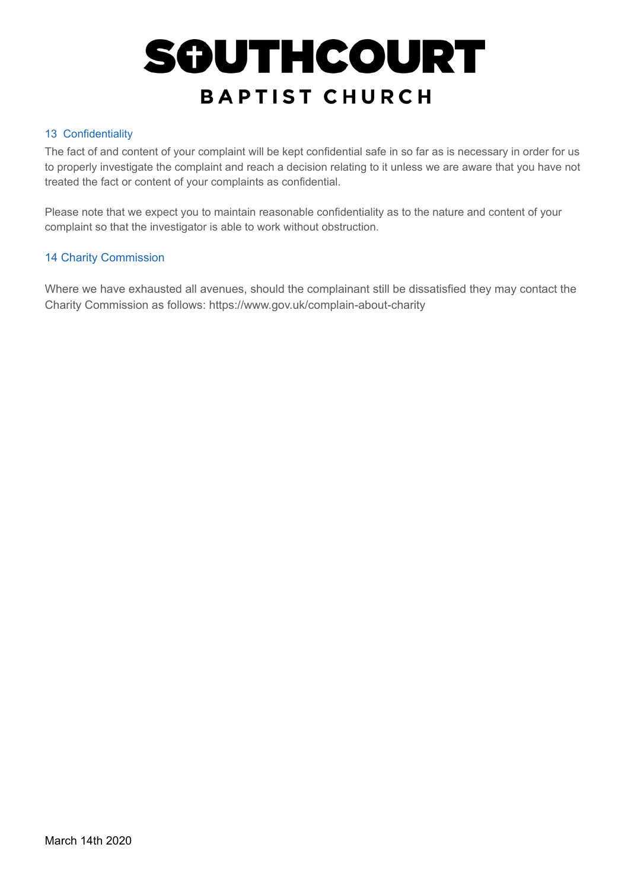#### 13 Confidentiality

The fact of and content of your complaint will be kept confidential safe in so far as is necessary in order for us to properly investigate the complaint and reach a decision relating to it unless we are aware that you have not treated the fact or content of your complaints as confidential.

Please note that we expect you to maintain reasonable confidentiality as to the nature and content of your complaint so that the investigator is able to work without obstruction.

#### 14 Charity Commission

Where we have exhausted all avenues, should the complainant still be dissatisfied they may contact the Charity Commission as follows: https://www.gov.uk/complain-about-charity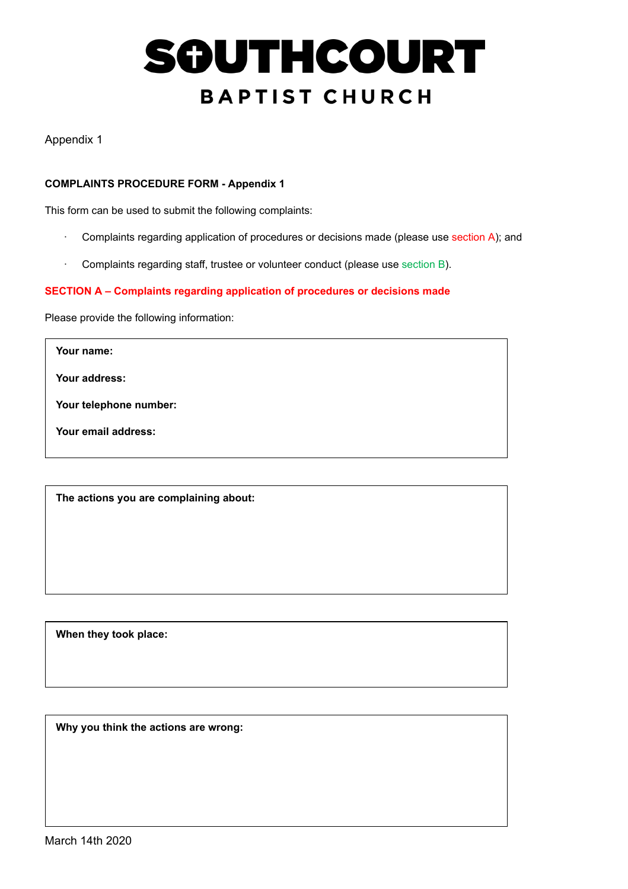Appendix 1

#### **COMPLAINTS PROCEDURE FORM - Appendix 1**

This form can be used to submit the following complaints:

- · Complaints regarding application of procedures or decisions made (please use section A); and
- · Complaints regarding staff, trustee or volunteer conduct (please use section B).

#### **SECTION A – Complaints regarding application of procedures or decisions made**

Please provide the following information:

**Your name:**

**Your address:**

**Your telephone number:**

**Your email address:**

**The actions you are complaining about:**

**When they took place:**

**Why you think the actions are wrong:**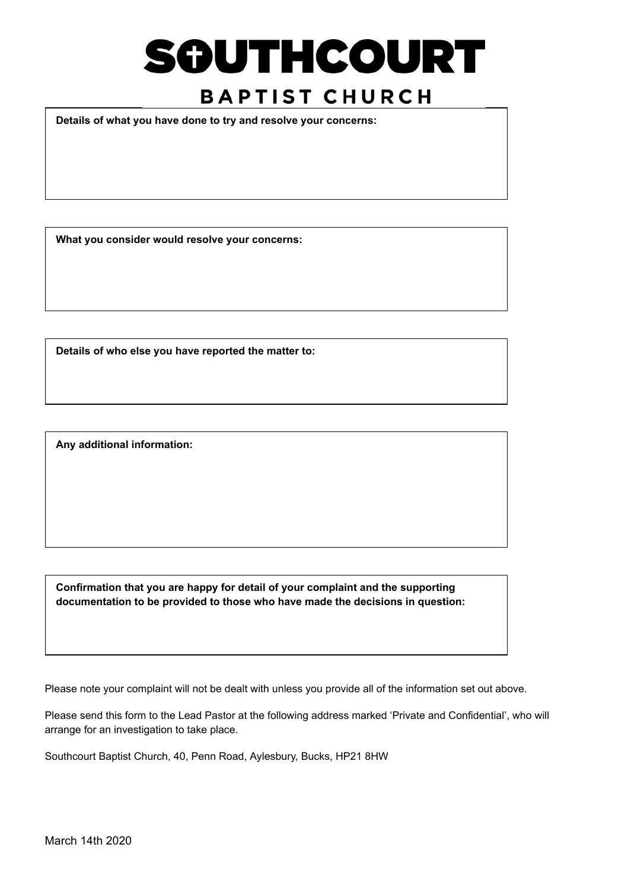**Details of what you have done to try and resolve your concerns:**

**What you consider would resolve your concerns:**

**Details of who else you have reported the matter to:**

**Any additional information:**

**Confirmation that you are happy for detail of your complaint and the supporting documentation to be provided to those who have made the decisions in question:**

Please note your complaint will not be dealt with unless you provide all of the information set out above.

Please send this form to the Lead Pastor at the following address marked 'Private and Confidential', who will arrange for an investigation to take place.

Southcourt Baptist Church, 40, Penn Road, Aylesbury, Bucks, HP21 8HW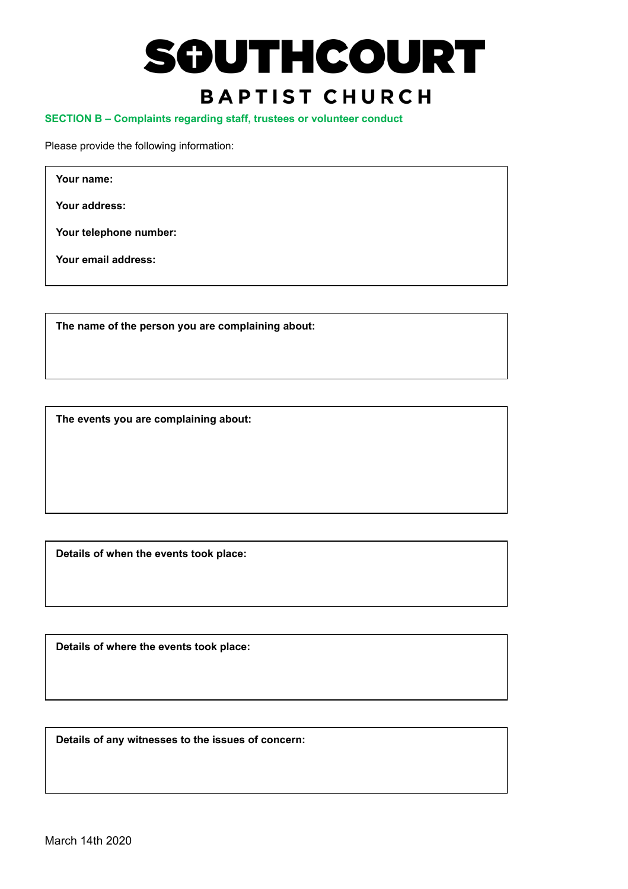**SECTION B – Complaints regarding staff, trustees or volunteer conduct**

Please provide the following information:

**Your name:**

**Your address:**

**Your telephone number:**

**Your email address:**

**The name of the person you are complaining about:**

**The events you are complaining about:**

**Details of when the events took place:**

**Details of where the events took place:**

**Details of any witnesses to the issues of concern:**